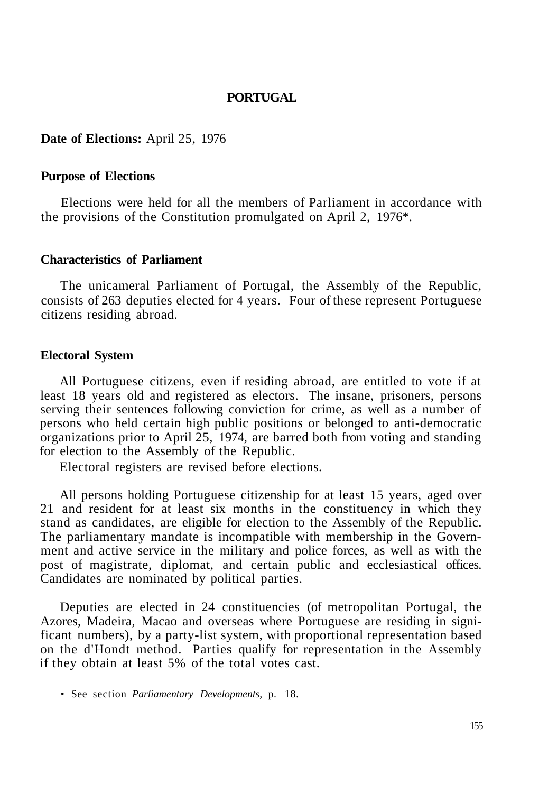## **PORTUGAL**

#### **Date of Elections:** April 25, 1976

#### **Purpose of Elections**

Elections were held for all the members of Parliament in accordance with the provisions of the Constitution promulgated on April 2, 1976\*.

### **Characteristics of Parliament**

The unicameral Parliament of Portugal, the Assembly of the Republic, consists of 263 deputies elected for 4 years. Four of these represent Portuguese citizens residing abroad.

#### **Electoral System**

All Portuguese citizens, even if residing abroad, are entitled to vote if at least 18 years old and registered as electors. The insane, prisoners, persons serving their sentences following conviction for crime, as well as a number of persons who held certain high public positions or belonged to anti-democratic organizations prior to April 25, 1974, are barred both from voting and standing for election to the Assembly of the Republic.

Electoral registers are revised before elections.

All persons holding Portuguese citizenship for at least 15 years, aged over 21 and resident for at least six months in the constituency in which they stand as candidates, are eligible for election to the Assembly of the Republic. The parliamentary mandate is incompatible with membership in the Government and active service in the military and police forces, as well as with the post of magistrate, diplomat, and certain public and ecclesiastical offices. Candidates are nominated by political parties.

Deputies are elected in 24 constituencies (of metropolitan Portugal, the Azores, Madeira, Macao and overseas where Portuguese are residing in significant numbers), by a party-list system, with proportional representation based on the d'Hondt method. Parties qualify for representation in the Assembly if they obtain at least 5% of the total votes cast.

• See section *Parliamentary Developments,* p. 18.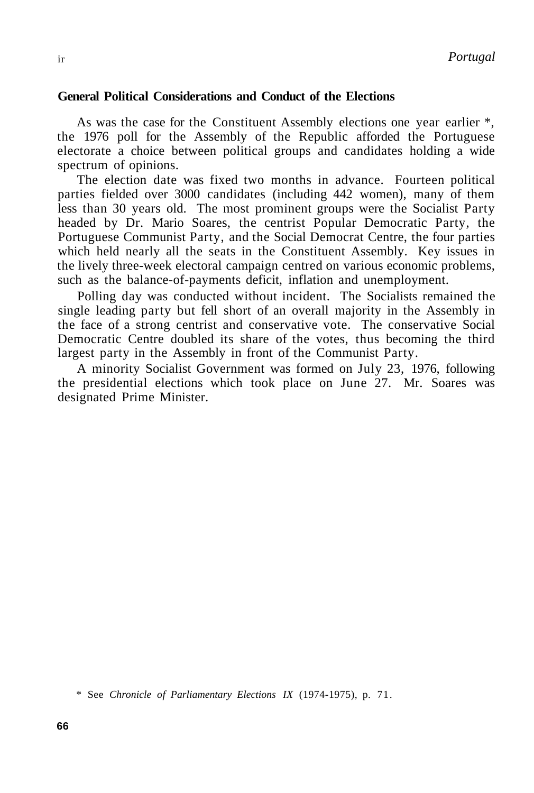## **General Political Considerations and Conduct of the Elections**

As was the case for the Constituent Assembly elections one year earlier \*, the 1976 poll for the Assembly of the Republic afforded the Portuguese electorate a choice between political groups and candidates holding a wide spectrum of opinions.

The election date was fixed two months in advance. Fourteen political parties fielded over 3000 candidates (including 442 women), many of them less than 30 years old. The most prominent groups were the Socialist Party headed by Dr. Mario Soares, the centrist Popular Democratic Party, the Portuguese Communist Party, and the Social Democrat Centre, the four parties which held nearly all the seats in the Constituent Assembly. Key issues in the lively three-week electoral campaign centred on various economic problems, such as the balance-of-payments deficit, inflation and unemployment.

Polling day was conducted without incident. The Socialists remained the single leading party but fell short of an overall majority in the Assembly in the face of a strong centrist and conservative vote. The conservative Social Democratic Centre doubled its share of the votes, thus becoming the third largest party in the Assembly in front of the Communist Party.

A minority Socialist Government was formed on July 23, 1976, following the presidential elections which took place on June 27. Mr. Soares was designated Prime Minister.

\* See *Chronicle of Parliamentary Elections IX* (1974-1975), p. 71.